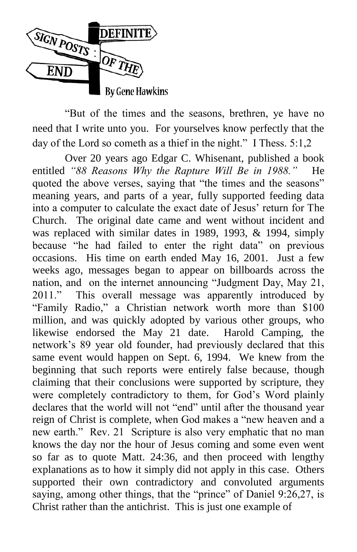

"But of the times and the seasons, brethren, ye have no need that I write unto you. For yourselves know perfectly that the day of the Lord so cometh as a thief in the night." I Thess. 5:1,2

Over 20 years ago Edgar C. Whisenant, published a book entitled *"88 Reasons Why the Rapture Will Be in 1988."* He quoted the above verses, saying that "the times and the seasons" meaning years, and parts of a year, fully supported feeding data into a computer to calculate the exact date of Jesus' return for The Church. The original date came and went without incident and was replaced with similar dates in 1989, 1993, & 1994, simply because "he had failed to enter the right data" on previous occasions. His time on earth ended May 16, 2001. Just a few weeks ago, messages began to appear on billboards across the nation, and on the internet announcing "Judgment Day, May 21, 2011." This overall message was apparently introduced by "Family Radio," a Christian network worth more than \$100 million, and was quickly adopted by various other groups, who likewise endorsed the May 21 date. Harold Camping, the network"s 89 year old founder, had previously declared that this same event would happen on Sept. 6, 1994. We knew from the beginning that such reports were entirely false because, though claiming that their conclusions were supported by scripture, they were completely contradictory to them, for God"s Word plainly declares that the world will not "end" until after the thousand year reign of Christ is complete, when God makes a "new heaven and a new earth." Rev. 21 Scripture is also very emphatic that no man knows the day nor the hour of Jesus coming and some even went so far as to quote Matt. 24:36, and then proceed with lengthy explanations as to how it simply did not apply in this case. Others supported their own contradictory and convoluted arguments saying, among other things, that the "prince" of Daniel 9:26,27, is Christ rather than the antichrist. This is just one example of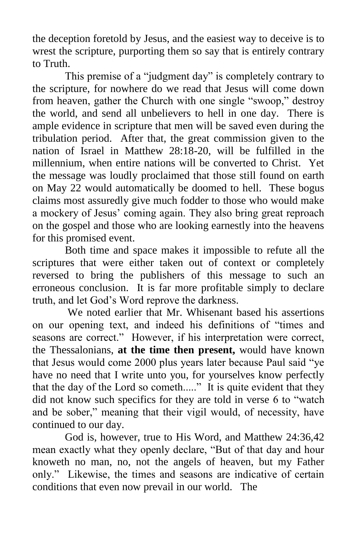the deception foretold by Jesus, and the easiest way to deceive is to wrest the scripture, purporting them so say that is entirely contrary to Truth.

This premise of a "judgment day" is completely contrary to the scripture, for nowhere do we read that Jesus will come down from heaven, gather the Church with one single "swoop," destroy the world, and send all unbelievers to hell in one day. There is ample evidence in scripture that men will be saved even during the tribulation period. After that, the great commission given to the nation of Israel in Matthew 28:18-20, will be fulfilled in the millennium, when entire nations will be converted to Christ. Yet the message was loudly proclaimed that those still found on earth on May 22 would automatically be doomed to hell. These bogus claims most assuredly give much fodder to those who would make a mockery of Jesus" coming again. They also bring great reproach on the gospel and those who are looking earnestly into the heavens for this promised event.

Both time and space makes it impossible to refute all the scriptures that were either taken out of context or completely reversed to bring the publishers of this message to such an erroneous conclusion. It is far more profitable simply to declare truth, and let God"s Word reprove the darkness.

We noted earlier that Mr. Whisenant based his assertions on our opening text, and indeed his definitions of "times and seasons are correct." However, if his interpretation were correct, the Thessalonians, **at the time then present,** would have known that Jesus would come 2000 plus years later because Paul said "ye have no need that I write unto you, for yourselves know perfectly that the day of the Lord so cometh....." It is quite evident that they did not know such specifics for they are told in verse 6 to "watch and be sober," meaning that their vigil would, of necessity, have continued to our day.

God is, however, true to His Word, and Matthew 24:36,42 mean exactly what they openly declare, "But of that day and hour knoweth no man, no, not the angels of heaven, but my Father only." Likewise, the times and seasons are indicative of certain conditions that even now prevail in our world. The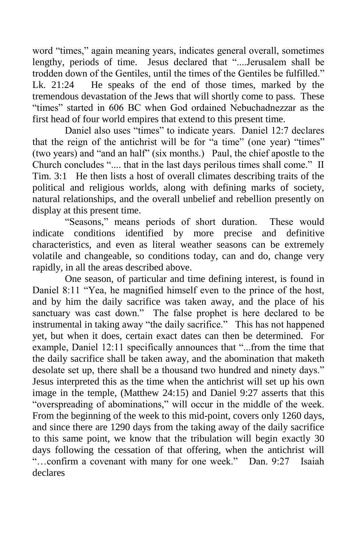word "times," again meaning years, indicates general overall, sometimes lengthy, periods of time. Jesus declared that "....Jerusalem shall be trodden down of the Gentiles, until the times of the Gentiles be fulfilled." Lk. 21:24 He speaks of the end of those times, marked by the tremendous devastation of the Jews that will shortly come to pass. These "times" started in 606 BC when God ordained Nebuchadnezzar as the first head of four world empires that extend to this present time.

Daniel also uses "times" to indicate years. Daniel 12:7 declares that the reign of the antichrist will be for "a time" (one year) "times" (two years) and "and an half" (six months.) Paul, the chief apostle to the Church concludes ".... that in the last days perilous times shall come." II Tim. 3:1 He then lists a host of overall climates describing traits of the political and religious worlds, along with defining marks of society, natural relationships, and the overall unbelief and rebellion presently on display at this present time.

"Seasons," means periods of short duration. These would indicate conditions identified by more precise and definitive characteristics, and even as literal weather seasons can be extremely volatile and changeable, so conditions today, can and do, change very rapidly, in all the areas described above.

One season, of particular and time defining interest, is found in Daniel 8:11 "Yea, he magnified himself even to the prince of the host, and by him the daily sacrifice was taken away, and the place of his sanctuary was cast down." The false prophet is here declared to be instrumental in taking away "the daily sacrifice." This has not happened yet, but when it does, certain exact dates can then be determined. For example, Daniel 12:11 specifically announces that "...from the time that the daily sacrifice shall be taken away, and the abomination that maketh desolate set up, there shall be a thousand two hundred and ninety days." Jesus interpreted this as the time when the antichrist will set up his own image in the temple, (Matthew 24:15) and Daniel 9:27 asserts that this "overspreading of abominations," will occur in the middle of the week. From the beginning of the week to this mid-point, covers only 1260 days, and since there are 1290 days from the taking away of the daily sacrifice to this same point, we know that the tribulation will begin exactly 30 days following the cessation of that offering, when the antichrist will "…confirm a covenant with many for one week." Dan. 9:27 Isaiah declares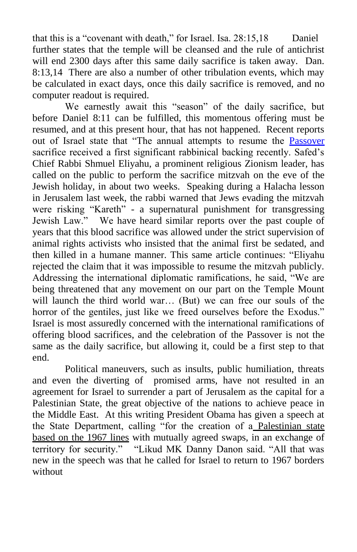that this is a "covenant with death," for Israel. Isa. 28:15,18 Daniel further states that the temple will be cleansed and the rule of antichrist will end 2300 days after this same daily sacrifice is taken away. Dan. 8:13,14 There are also a number of other tribulation events, which may be calculated in exact days, once this daily sacrifice is removed, and no computer readout is required.

We earnestly await this "season" of the daily sacrifice, but before Daniel 8:11 can be fulfilled, this momentous offering must be resumed, and at this present hour, that has not happened. Recent reports out of Israel state that "The annual attempts to resume the Passover sacrifice received a first significant rabbinical backing recently. Safed's Chief Rabbi Shmuel Eliyahu, a prominent religious Zionism leader, has called on the public to perform the sacrifice mitzvah on the eve of the Jewish holiday, in about two weeks. Speaking during a Halacha lesson in Jerusalem last week, the rabbi warned that Jews evading the mitzvah were risking "Kareth" - a supernatural punishment for transgressing Jewish Law." We have heard similar reports over the past couple of years that this blood sacrifice was allowed under the strict supervision of animal rights activists who insisted that the animal first be sedated, and then killed in a humane manner. This same article continues: "Eliyahu rejected the claim that it was impossible to resume the mitzvah publicly. Addressing the international diplomatic ramifications, he said, "We are being threatened that any movement on our part on the Temple Mount will launch the third world war… (But) we can free our souls of the horror of the gentiles, just like we freed ourselves before the Exodus." Israel is most assuredly concerned with the international ramifications of offering blood sacrifices, and the celebration of the Passover is not the same as the daily sacrifice, but allowing it, could be a first step to that end.

Political maneuvers, such as insults, public humiliation, threats and even the diverting of promised arms, have not resulted in an agreement for Israel to surrender a part of Jerusalem as the capital for a Palestinian State, the great objective of the nations to achieve peace in the Middle East. At this writing President Obama has given a speech at the State Department, calling "for the creation of a Palestinian state based on the 1967 lines with mutually agreed swaps, in an exchange of territory for security." "Likud MK Danny Danon said. "All that was new in the speech was that he called for Israel to return to 1967 borders without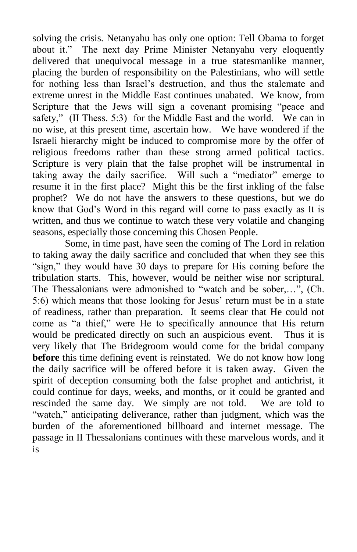solving the crisis. Netanyahu has only one option: Tell Obama to forget about it." The next day Prime Minister Netanyahu very eloquently delivered that unequivocal message in a true statesmanlike manner, placing the burden of responsibility on the Palestinians, who will settle for nothing less than Israel"s destruction, and thus the stalemate and extreme unrest in the Middle East continues unabated. We know, from Scripture that the Jews will sign a covenant promising "peace and safety," (II Thess. 5:3) for the Middle East and the world. We can in no wise, at this present time, ascertain how. We have wondered if the Israeli hierarchy might be induced to compromise more by the offer of religious freedoms rather than these strong armed political tactics. Scripture is very plain that the false prophet will be instrumental in taking away the daily sacrifice. Will such a "mediator" emerge to resume it in the first place? Might this be the first inkling of the false prophet? We do not have the answers to these questions, but we do know that God"s Word in this regard will come to pass exactly as It is written, and thus we continue to watch these very volatile and changing seasons, especially those concerning this Chosen People.

Some, in time past, have seen the coming of The Lord in relation to taking away the daily sacrifice and concluded that when they see this "sign," they would have 30 days to prepare for His coming before the tribulation starts. This, however, would be neither wise nor scriptural. The Thessalonians were admonished to "watch and be sober,…", (Ch. 5:6) which means that those looking for Jesus" return must be in a state of readiness, rather than preparation. It seems clear that He could not come as "a thief," were He to specifically announce that His return would be predicated directly on such an auspicious event. Thus it is very likely that The Bridegroom would come for the bridal company **before** this time defining event is reinstated. We do not know how long the daily sacrifice will be offered before it is taken away. Given the spirit of deception consuming both the false prophet and antichrist, it could continue for days, weeks, and months, or it could be granted and rescinded the same day. We simply are not told. We are told to "watch," anticipating deliverance, rather than judgment, which was the burden of the aforementioned billboard and internet message. The passage in II Thessalonians continues with these marvelous words, and it is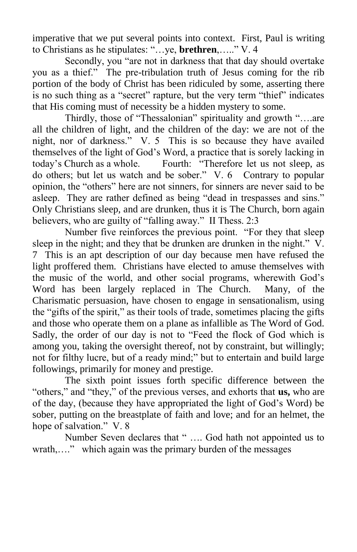imperative that we put several points into context. First, Paul is writing to Christians as he stipulates: "…ye, **brethren**,….." V. 4

Secondly, you "are not in darkness that that day should overtake you as a thief." The pre-tribulation truth of Jesus coming for the rib portion of the body of Christ has been ridiculed by some, asserting there is no such thing as a "secret" rapture, but the very term "thief" indicates that His coming must of necessity be a hidden mystery to some.

Thirdly, those of "Thessalonian" spirituality and growth "….are all the children of light, and the children of the day: we are not of the night, nor of darkness." V. 5 This is so because they have availed themselves of the light of God"s Word, a practice that is sorely lacking in today"s Church as a whole. Fourth: "Therefore let us not sleep, as do others; but let us watch and be sober." V. 6 Contrary to popular opinion, the "others" here are not sinners, for sinners are never said to be asleep. They are rather defined as being "dead in trespasses and sins." Only Christians sleep, and are drunken, thus it is The Church, born again believers, who are guilty of "falling away." II Thess. 2:3

Number five reinforces the previous point. "For they that sleep sleep in the night; and they that be drunken are drunken in the night." V. 7 This is an apt description of our day because men have refused the light proffered them. Christians have elected to amuse themselves with the music of the world, and other social programs, wherewith God"s Word has been largely replaced in The Church. Many, of the Charismatic persuasion, have chosen to engage in sensationalism, using the "gifts of the spirit," as their tools of trade, sometimes placing the gifts and those who operate them on a plane as infallible as The Word of God. Sadly, the order of our day is not to "Feed the flock of God which is among you, taking the oversight thereof, not by constraint, but willingly; not for filthy lucre, but of a ready mind;" but to entertain and build large followings, primarily for money and prestige.

The sixth point issues forth specific difference between the "others," and "they," of the previous verses, and exhorts that **us,** who are of the day, (because they have appropriated the light of God"s Word) be sober, putting on the breastplate of faith and love; and for an helmet, the hope of salvation." V. 8

Number Seven declares that " …. God hath not appointed us to wrath,…." which again was the primary burden of the messages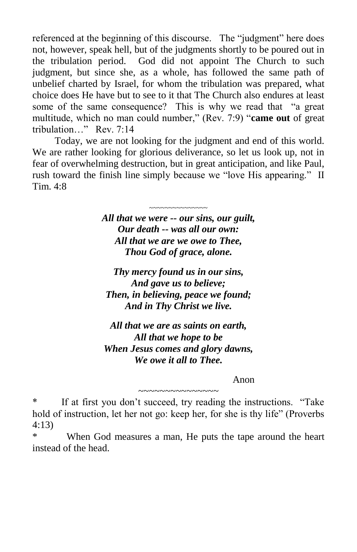referenced at the beginning of this discourse. The "judgment" here does not, however, speak hell, but of the judgments shortly to be poured out in the tribulation period. God did not appoint The Church to such judgment, but since she, as a whole, has followed the same path of unbelief charted by Israel, for whom the tribulation was prepared, what choice does He have but to see to it that The Church also endures at least some of the same consequence? This is why we read that "a great multitude, which no man could number," (Rev. 7:9) "**came out** of great tribulation…" Rev. 7:14

 Today, we are not looking for the judgment and end of this world. We are rather looking for glorious deliverance, so let us look up, not in fear of overwhelming destruction, but in great anticipation, and like Paul, rush toward the finish line simply because we "love His appearing." II Tim. 4:8

> *~~~~~~~~~~~~~~~ All that we were -- our sins, our guilt, Our death -- was all our own: All that we are we owe to Thee, Thou God of grace, alone.*

*Thy mercy found us in our sins, And gave us to believe; Then, in believing, peace we found; And in Thy Christ we live.*

*All that we are as saints on earth, All that we hope to be When Jesus comes and glory dawns, We owe it all to Thee.*

Anon

 $\sim\sim\sim\sim\sim\sim\sim\sim\sim\sim\sim\sim$ 

\* If at first you don"t succeed, try reading the instructions. "Take hold of instruction, let her not go: keep her, for she is thy life" (Proverbs 4:13)

\* When God measures a man, He puts the tape around the heart instead of the head.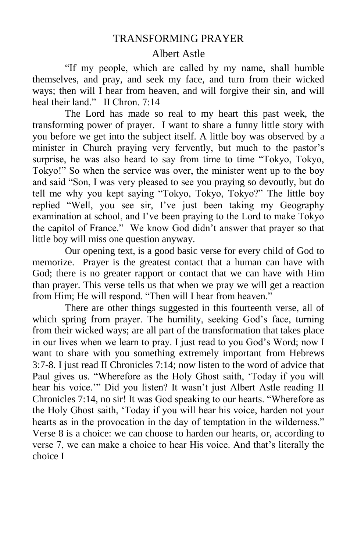### TRANSFORMING PRAYER

### Albert Astle

"If my people, which are called by my name, shall humble themselves, and pray, and seek my face, and turn from their wicked ways; then will I hear from heaven, and will forgive their sin, and will heal their land." II Chron. 7:14

The Lord has made so real to my heart this past week, the transforming power of prayer. I want to share a funny little story with you before we get into the subject itself. A little boy was observed by a minister in Church praying very fervently, but much to the pastor's surprise, he was also heard to say from time to time "Tokyo, Tokyo, Tokyo!" So when the service was over, the minister went up to the boy and said "Son, I was very pleased to see you praying so devoutly, but do tell me why you kept saying "Tokyo, Tokyo, Tokyo?" The little boy replied "Well, you see sir, I"ve just been taking my Geography examination at school, and I"ve been praying to the Lord to make Tokyo the capitol of France." We know God didn"t answer that prayer so that little boy will miss one question anyway.

Our opening text, is a good basic verse for every child of God to memorize. Prayer is the greatest contact that a human can have with God; there is no greater rapport or contact that we can have with Him than prayer. This verse tells us that when we pray we will get a reaction from Him; He will respond. "Then will I hear from heaven."

There are other things suggested in this fourteenth verse, all of which spring from prayer. The humility, seeking God's face, turning from their wicked ways; are all part of the transformation that takes place in our lives when we learn to pray. I just read to you God"s Word; now I want to share with you something extremely important from Hebrews 3:7-8. I just read II Chronicles 7:14; now listen to the word of advice that Paul gives us. "Wherefore as the Holy Ghost saith, "Today if you will hear his voice."" Did you listen? It wasn"t just Albert Astle reading II Chronicles 7:14, no sir! It was God speaking to our hearts. "Wherefore as the Holy Ghost saith, "Today if you will hear his voice, harden not your hearts as in the provocation in the day of temptation in the wilderness." Verse 8 is a choice: we can choose to harden our hearts, or, according to verse 7, we can make a choice to hear His voice. And that"s literally the choice I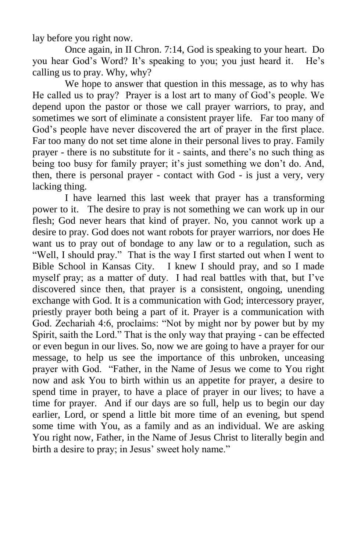lay before you right now.

Once again, in II Chron. 7:14, God is speaking to your heart. Do you hear God's Word? It's speaking to you; you just heard it. He's calling us to pray. Why, why?

We hope to answer that question in this message, as to why has He called us to pray? Prayer is a lost art to many of God"s people. We depend upon the pastor or those we call prayer warriors, to pray, and sometimes we sort of eliminate a consistent prayer life. Far too many of God"s people have never discovered the art of prayer in the first place. Far too many do not set time alone in their personal lives to pray. Family prayer - there is no substitute for it - saints, and there"s no such thing as being too busy for family prayer; it's just something we don't do. And, then, there is personal prayer - contact with God - is just a very, very lacking thing.

I have learned this last week that prayer has a transforming power to it. The desire to pray is not something we can work up in our flesh; God never hears that kind of prayer. No, you cannot work up a desire to pray. God does not want robots for prayer warriors, nor does He want us to pray out of bondage to any law or to a regulation, such as "Well, I should pray." That is the way I first started out when I went to Bible School in Kansas City. I knew I should pray, and so I made myself pray; as a matter of duty. I had real battles with that, but I"ve discovered since then, that prayer is a consistent, ongoing, unending exchange with God. It is a communication with God; intercessory prayer, priestly prayer both being a part of it. Prayer is a communication with God. Zechariah 4:6, proclaims: "Not by might nor by power but by my Spirit, saith the Lord." That is the only way that praying - can be effected or even begun in our lives. So, now we are going to have a prayer for our message, to help us see the importance of this unbroken, unceasing prayer with God. "Father, in the Name of Jesus we come to You right now and ask You to birth within us an appetite for prayer, a desire to spend time in prayer, to have a place of prayer in our lives; to have a time for prayer. And if our days are so full, help us to begin our day earlier, Lord, or spend a little bit more time of an evening, but spend some time with You, as a family and as an individual. We are asking You right now, Father, in the Name of Jesus Christ to literally begin and birth a desire to pray; in Jesus' sweet holy name."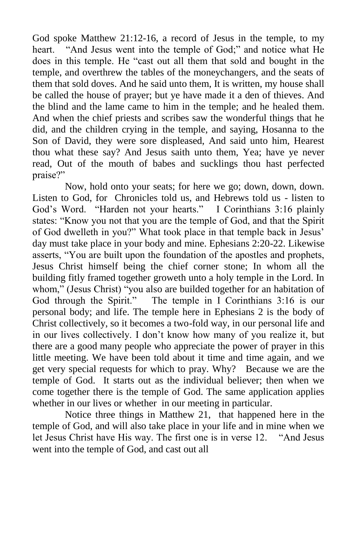God spoke Matthew 21:12-16, a record of Jesus in the temple, to my heart. "And Jesus went into the temple of God;" and notice what He does in this temple. He "cast out all them that sold and bought in the temple, and overthrew the tables of the moneychangers, and the seats of them that sold doves. And he said unto them, It is written, my house shall be called the house of prayer; but ye have made it a den of thieves. And the blind and the lame came to him in the temple; and he healed them. And when the chief priests and scribes saw the wonderful things that he did, and the children crying in the temple, and saying, Hosanna to the Son of David, they were sore displeased, And said unto him, Hearest thou what these say? And Jesus saith unto them, Yea; have ye never read, Out of the mouth of babes and sucklings thou hast perfected praise?"

Now, hold onto your seats; for here we go; down, down, down. Listen to God, for Chronicles told us, and Hebrews told us - listen to God"s Word. "Harden not your hearts." I Corinthians 3:16 plainly states: "Know you not that you are the temple of God, and that the Spirit of God dwelleth in you?" What took place in that temple back in Jesus" day must take place in your body and mine. Ephesians 2:20-22. Likewise asserts, "You are built upon the foundation of the apostles and prophets, Jesus Christ himself being the chief corner stone; In whom all the building fitly framed together groweth unto a holy temple in the Lord. In whom," (Jesus Christ) "you also are builded together for an habitation of God through the Spirit." The temple in I Corinthians 3:16 is our personal body; and life. The temple here in Ephesians 2 is the body of Christ collectively, so it becomes a two-fold way, in our personal life and in our lives collectively. I don"t know how many of you realize it, but there are a good many people who appreciate the power of prayer in this little meeting. We have been told about it time and time again, and we get very special requests for which to pray. Why? Because we are the temple of God. It starts out as the individual believer; then when we come together there is the temple of God. The same application applies whether in our lives or whether in our meeting in particular.

Notice three things in Matthew 21, that happened here in the temple of God, and will also take place in your life and in mine when we let Jesus Christ have His way. The first one is in verse 12. "And Jesus went into the temple of God, and cast out all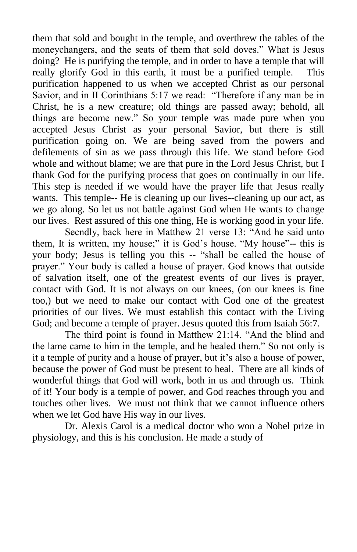them that sold and bought in the temple, and overthrew the tables of the moneychangers, and the seats of them that sold doves." What is Jesus doing? He is purifying the temple, and in order to have a temple that will really glorify God in this earth, it must be a purified temple. This purification happened to us when we accepted Christ as our personal Savior, and in II Corinthians 5:17 we read: "Therefore if any man be in Christ, he is a new creature; old things are passed away; behold, all things are become new." So your temple was made pure when you accepted Jesus Christ as your personal Savior, but there is still purification going on. We are being saved from the powers and defilements of sin as we pass through this life. We stand before God whole and without blame; we are that pure in the Lord Jesus Christ, but I thank God for the purifying process that goes on continually in our life. This step is needed if we would have the prayer life that Jesus really wants. This temple-- He is cleaning up our lives--cleaning up our act, as we go along. So let us not battle against God when He wants to change our lives. Rest assured of this one thing, He is working good in your life.

Secndly, back here in Matthew 21 verse 13: "And he said unto them, It is written, my house;" it is God's house. "My house"-- this is your body; Jesus is telling you this -- "shall be called the house of prayer." Your body is called a house of prayer. God knows that outside of salvation itself, one of the greatest events of our lives is prayer, contact with God. It is not always on our knees, (on our knees is fine too,) but we need to make our contact with God one of the greatest priorities of our lives. We must establish this contact with the Living God; and become a temple of prayer. Jesus quoted this from Isaiah 56:7.

The third point is found in Matthew 21:14. "And the blind and the lame came to him in the temple, and he healed them." So not only is it a temple of purity and a house of prayer, but it"s also a house of power, because the power of God must be present to heal. There are all kinds of wonderful things that God will work, both in us and through us. Think of it! Your body is a temple of power, and God reaches through you and touches other lives. We must not think that we cannot influence others when we let God have His way in our lives.

Dr. Alexis Carol is a medical doctor who won a Nobel prize in physiology, and this is his conclusion. He made a study of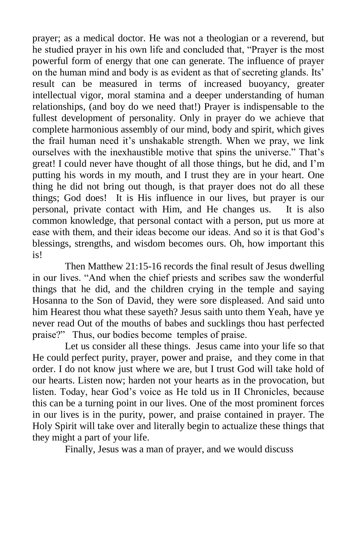prayer; as a medical doctor. He was not a theologian or a reverend, but he studied prayer in his own life and concluded that, "Prayer is the most powerful form of energy that one can generate. The influence of prayer on the human mind and body is as evident as that of secreting glands. Its" result can be measured in terms of increased buoyancy, greater intellectual vigor, moral stamina and a deeper understanding of human relationships, (and boy do we need that!) Prayer is indispensable to the fullest development of personality. Only in prayer do we achieve that complete harmonious assembly of our mind, body and spirit, which gives the frail human need it's unshakable strength. When we pray, we link ourselves with the inexhaustible motive that spins the universe." That"s great! I could never have thought of all those things, but he did, and I"m putting his words in my mouth, and I trust they are in your heart. One thing he did not bring out though, is that prayer does not do all these things; God does! It is His influence in our lives, but prayer is our personal, private contact with Him, and He changes us. It is also common knowledge, that personal contact with a person, put us more at ease with them, and their ideas become our ideas. And so it is that God"s blessings, strengths, and wisdom becomes ours. Oh, how important this is!

Then Matthew 21:15-16 records the final result of Jesus dwelling in our lives. "And when the chief priests and scribes saw the wonderful things that he did, and the children crying in the temple and saying Hosanna to the Son of David, they were sore displeased. And said unto him Hearest thou what these sayeth? Jesus saith unto them Yeah, have ye never read Out of the mouths of babes and sucklings thou hast perfected praise?" Thus, our bodies become temples of praise.

Let us consider all these things. Jesus came into your life so that He could perfect purity, prayer, power and praise, and they come in that order. I do not know just where we are, but I trust God will take hold of our hearts. Listen now; harden not your hearts as in the provocation, but listen. Today, hear God's voice as He told us in II Chronicles, because this can be a turning point in our lives. One of the most prominent forces in our lives is in the purity, power, and praise contained in prayer. The Holy Spirit will take over and literally begin to actualize these things that they might a part of your life.

Finally, Jesus was a man of prayer, and we would discuss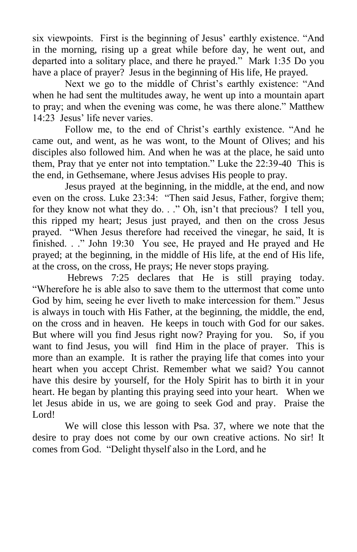six viewpoints. First is the beginning of Jesus' earthly existence. "And in the morning, rising up a great while before day, he went out, and departed into a solitary place, and there he prayed." Mark 1:35 Do you have a place of prayer? Jesus in the beginning of His life, He prayed.

Next we go to the middle of Christ's earthly existence: "And when he had sent the multitudes away, he went up into a mountain apart to pray; and when the evening was come, he was there alone." Matthew 14:23 Jesus" life never varies.

Follow me, to the end of Christ's earthly existence. "And he came out, and went, as he was wont, to the Mount of Olives; and his disciples also followed him. And when he was at the place, he said unto them, Pray that ye enter not into temptation." Luke the 22:39-40 This is the end, in Gethsemane, where Jesus advises His people to pray.

Jesus prayed at the beginning, in the middle, at the end, and now even on the cross. Luke 23:34: "Then said Jesus, Father, forgive them; for they know not what they do. . ." Oh, isn"t that precious? I tell you, this ripped my heart; Jesus just prayed, and then on the cross Jesus prayed. "When Jesus therefore had received the vinegar, he said, It is finished. . ." John 19:30 You see, He prayed and He prayed and He prayed; at the beginning, in the middle of His life, at the end of His life, at the cross, on the cross, He prays; He never stops praying.

Hebrews 7:25 declares that He is still praying today. "Wherefore he is able also to save them to the uttermost that come unto God by him, seeing he ever liveth to make intercession for them." Jesus is always in touch with His Father, at the beginning, the middle, the end, on the cross and in heaven. He keeps in touch with God for our sakes. But where will you find Jesus right now? Praying for you. So, if you want to find Jesus, you will find Him in the place of prayer. This is more than an example. It is rather the praying life that comes into your heart when you accept Christ. Remember what we said? You cannot have this desire by yourself, for the Holy Spirit has to birth it in your heart. He began by planting this praying seed into your heart. When we let Jesus abide in us, we are going to seek God and pray. Praise the Lord!

We will close this lesson with Psa. 37, where we note that the desire to pray does not come by our own creative actions. No sir! It comes from God. "Delight thyself also in the Lord, and he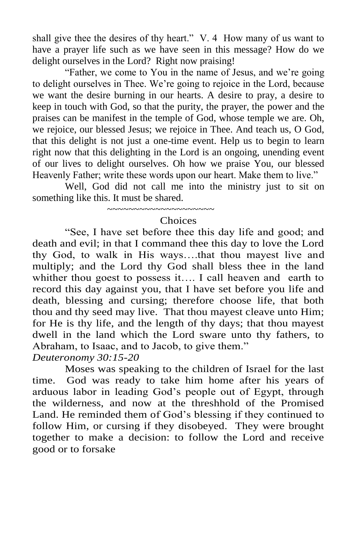shall give thee the desires of thy heart." V. 4 How many of us want to have a prayer life such as we have seen in this message? How do we delight ourselves in the Lord? Right now praising!

"Father, we come to You in the name of Jesus, and we"re going to delight ourselves in Thee. We"re going to rejoice in the Lord, because we want the desire burning in our hearts. A desire to pray, a desire to keep in touch with God, so that the purity, the prayer, the power and the praises can be manifest in the temple of God, whose temple we are. Oh, we rejoice, our blessed Jesus; we rejoice in Thee. And teach us, O God, that this delight is not just a one-time event. Help us to begin to learn right now that this delighting in the Lord is an ongoing, unending event of our lives to delight ourselves. Oh how we praise You, our blessed Heavenly Father; write these words upon our heart. Make them to live."

Well, God did not call me into the ministry just to sit on something like this. It must be shared.

#### ~~~~~~~~~~~~ Choices

"See, I have set before thee this day life and good; and death and evil; in that I command thee this day to love the Lord thy God, to walk in His ways….that thou mayest live and multiply; and the Lord thy God shall bless thee in the land whither thou goest to possess it.... I call heaven and earth to record this day against you, that I have set before you life and death, blessing and cursing; therefore choose life, that both thou and thy seed may live. That thou mayest cleave unto Him; for He is thy life, and the length of thy days; that thou mayest dwell in the land which the Lord sware unto thy fathers, to Abraham, to Isaac, and to Jacob, to give them."

*Deuteronomy 30:15-20*

Moses was speaking to the children of Israel for the last time. God was ready to take him home after his years of arduous labor in leading God"s people out of Egypt, through the wilderness, and now at the threshhold of the Promised Land. He reminded them of God"s blessing if they continued to follow Him, or cursing if they disobeyed. They were brought together to make a decision: to follow the Lord and receive good or to forsake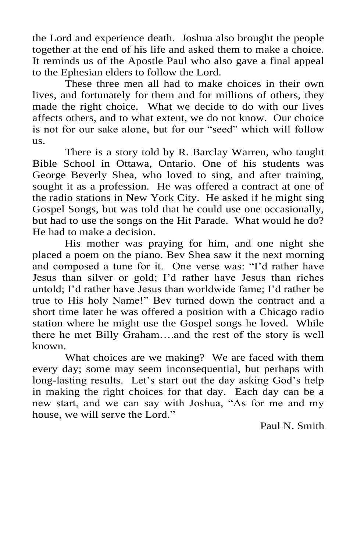the Lord and experience death. Joshua also brought the people together at the end of his life and asked them to make a choice. It reminds us of the Apostle Paul who also gave a final appeal to the Ephesian elders to follow the Lord.

These three men all had to make choices in their own lives, and fortunately for them and for millions of others, they made the right choice. What we decide to do with our lives affects others, and to what extent, we do not know. Our choice is not for our sake alone, but for our "seed" which will follow us.

There is a story told by R. Barclay Warren, who taught Bible School in Ottawa, Ontario. One of his students was George Beverly Shea, who loved to sing, and after training, sought it as a profession. He was offered a contract at one of the radio stations in New York City. He asked if he might sing Gospel Songs, but was told that he could use one occasionally, but had to use the songs on the Hit Parade. What would he do? He had to make a decision.

His mother was praying for him, and one night she placed a poem on the piano. Bev Shea saw it the next morning and composed a tune for it. One verse was: "I"d rather have Jesus than silver or gold; I"d rather have Jesus than riches untold; I"d rather have Jesus than worldwide fame; I"d rather be true to His holy Name!" Bev turned down the contract and a short time later he was offered a position with a Chicago radio station where he might use the Gospel songs he loved. While there he met Billy Graham….and the rest of the story is well known.

What choices are we making? We are faced with them every day; some may seem inconsequential, but perhaps with long-lasting results. Let's start out the day asking God's help in making the right choices for that day. Each day can be a new start, and we can say with Joshua, "As for me and my house, we will serve the Lord."

Paul N. Smith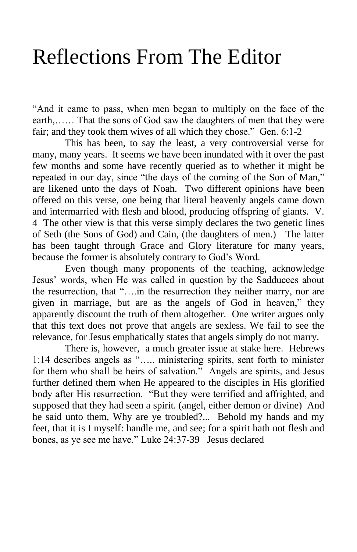# Reflections From The Editor

"And it came to pass, when men began to multiply on the face of the earth,…… That the sons of God saw the daughters of men that they were fair; and they took them wives of all which they chose." Gen. 6:1-2

This has been, to say the least, a very controversial verse for many, many years. It seems we have been inundated with it over the past few months and some have recently queried as to whether it might be repeated in our day, since "the days of the coming of the Son of Man," are likened unto the days of Noah. Two different opinions have been offered on this verse, one being that literal heavenly angels came down and intermarried with flesh and blood, producing offspring of giants. V. 4 The other view is that this verse simply declares the two genetic lines of Seth (the Sons of God) and Cain, (the daughters of men.) The latter has been taught through Grace and Glory literature for many years, because the former is absolutely contrary to God"s Word.

Even though many proponents of the teaching, acknowledge Jesus" words, when He was called in question by the Sadducees about the resurrection, that "….in the resurrection they neither marry, nor are given in marriage, but are as the angels of God in heaven," they apparently discount the truth of them altogether. One writer argues only that this text does not prove that angels are sexless. We fail to see the relevance, for Jesus emphatically states that angels simply do not marry.

There is, however, a much greater issue at stake here. Hebrews 1:14 describes angels as "….. ministering spirits, sent forth to minister for them who shall be heirs of salvation." Angels are spirits, and Jesus further defined them when He appeared to the disciples in His glorified body after His resurrection. "But they were terrified and affrighted, and supposed that they had seen a spirit. (angel, either demon or divine) And he said unto them, Why are ye troubled?... Behold my hands and my feet, that it is I myself: handle me, and see; for a spirit hath not flesh and bones, as ye see me have." Luke 24:37-39 Jesus declared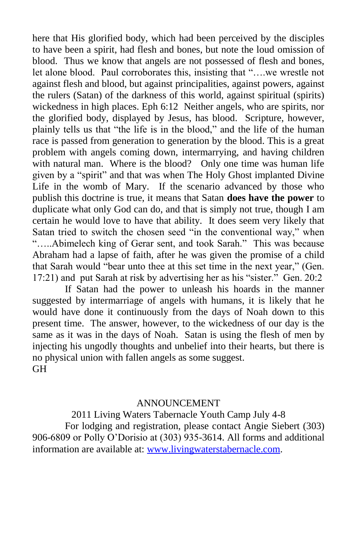here that His glorified body, which had been perceived by the disciples to have been a spirit, had flesh and bones, but note the loud omission of blood. Thus we know that angels are not possessed of flesh and bones, let alone blood. Paul corroborates this, insisting that "….we wrestle not against flesh and blood, but against principalities, against powers, against the rulers (Satan) of the darkness of this world, against spiritual (spirits) wickedness in high places. Eph 6:12 Neither angels, who are spirits, nor the glorified body, displayed by Jesus, has blood. Scripture, however, plainly tells us that "the life is in the blood," and the life of the human race is passed from generation to generation by the blood. This is a great problem with angels coming down, intermarrying, and having children with natural man. Where is the blood? Only one time was human life given by a "spirit" and that was when The Holy Ghost implanted Divine Life in the womb of Mary. If the scenario advanced by those who publish this doctrine is true, it means that Satan **does have the power** to duplicate what only God can do, and that is simply not true, though I am certain he would love to have that ability. It does seem very likely that Satan tried to switch the chosen seed "in the conventional way," when "…..Abimelech king of Gerar sent, and took Sarah." This was because Abraham had a lapse of faith, after he was given the promise of a child that Sarah would "bear unto thee at this set time in the next year," (Gen. 17:21) and put Sarah at risk by advertising her as his "sister." Gen. 20:2

If Satan had the power to unleash his hoards in the manner suggested by intermarriage of angels with humans, it is likely that he would have done it continuously from the days of Noah down to this present time. The answer, however, to the wickedness of our day is the same as it was in the days of Noah. Satan is using the flesh of men by injecting his ungodly thoughts and unbelief into their hearts, but there is no physical union with fallen angels as some suggest. GH

### ANNOUNCEMENT

2011 Living Waters Tabernacle Youth Camp July 4-8 For lodging and registration, please contact Angie Siebert (303) 906-6809 or Polly O"Dorisio at (303) 935-3614. All forms and additional information are available at: [www.livingwaterstabernacle.com.](http://www.livingwaterstabernacle.com/)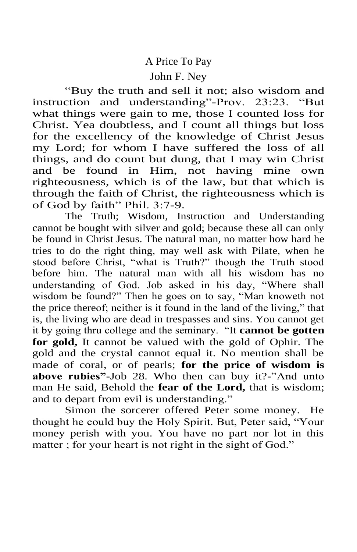### A Price To Pay

### John F. Ney

"Buy the truth and sell it not; also wisdom and instruction and understanding"-Prov. 23:23. "But what things were gain to me, those I counted loss for Christ. Yea doubtless, and I count all things but loss for the excellency of the knowledge of Christ Jesus my Lord; for whom I have suffered the loss of all things, and do count but dung, that I may win Christ and be found in Him, not having mine own righteousness, which is of the law, but that which is through the faith of Christ, the righteousness which is of God by faith" Phil. 3:7-9.

The Truth; Wisdom, Instruction and Understanding cannot be bought with silver and gold; because these all can only be found in Christ Jesus. The natural man, no matter how hard he tries to do the right thing, may well ask with Pilate, when he stood before Christ, "what is Truth?" though the Truth stood before him. The natural man with all his wisdom has no understanding of God. Job asked in his day, "Where shall wisdom be found?" Then he goes on to say, "Man knoweth not the price thereof; neither is it found in the land of the living," that is, the living who are dead in trespasses and sins. You cannot get it by going thru college and the seminary. "It **cannot be gotten for gold,** It cannot be valued with the gold of Ophir. The gold and the crystal cannot equal it. No mention shall be made of coral, or of pearls; **for the price of wisdom is above rubies"**-Job 28. Who then can buy it?-"And unto man He said, Behold the **fear of the Lord,** that is wisdom; and to depart from evil is understanding."

Simon the sorcerer offered Peter some money. He thought he could buy the Holy Spirit. But, Peter said, "Your money perish with you. You have no part nor lot in this matter ; for your heart is not right in the sight of God."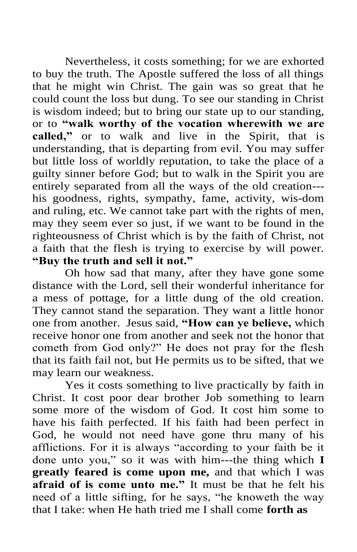Nevertheless, it costs something; for we are exhorted to buy the truth. The Apostle suffered the loss of all things that he might win Christ. The gain was so great that he could count the loss but dung. To see our standing in Christ is wisdom indeed; but to bring our state up to our standing, or to **"walk worthy of the vocation wherewith we are called,"** or to walk and live in the Spirit, that is understanding, that is departing from evil. You may suffer but little loss of worldly reputation, to take the place of a guilty sinner before God; but to walk in the Spirit you are entirely separated from all the ways of the old creation-- his goodness, rights, sympathy, fame, activity, wis-dom and ruling, etc. We cannot take part with the rights of men, may they seem ever so just, if we want to be found in the righteousness of Christ which is by the faith of Christ, not a faith that the flesh is trying to exercise by will power. **"Buy the truth and sell it not."**

Oh how sad that many, after they have gone some distance with the Lord, sell their wonderful inheritance for a mess of pottage, for a little dung of the old creation. They cannot stand the separation. They want a little honor one from another. Jesus said, **"How can ye believe,** which receive honor one from another and seek not the honor that cometh from God only?" He does not pray for the flesh that its faith fail not, but He permits us to be sifted, that we may learn our weakness.

Yes it costs something to live practically by faith in Christ. It cost poor dear brother Job something to learn some more of the wisdom of God. It cost him some to have his faith perfected. If his faith had been perfect in God, he would not need have gone thru many of his afflictions. For it is always "according to your faith be it done unto you," so it was with him---the thing which **I greatly feared is come upon me,** and that which I was **afraid of is come unto me."** It must be that he felt his need of a little sifting, for he says, "he knoweth the way that I take: when He hath tried me I shall come **forth as**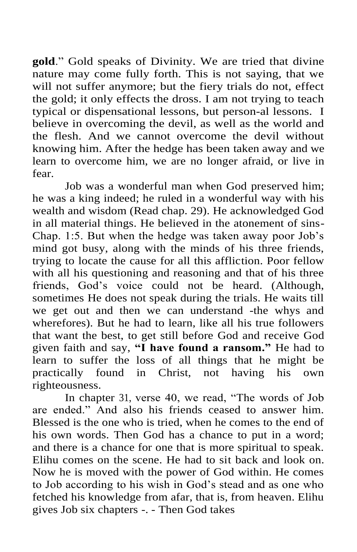**gold**." Gold speaks of Divinity. We are tried that divine nature may come fully forth. This is not saying, that we will not suffer anymore; but the fiery trials do not, effect the gold; it only effects the dross. I am not trying to teach typical or dispensational lessons, but person-al lessons. I believe in overcoming the devil, as well as the world and the flesh. And we cannot overcome the devil without knowing him. After the hedge has been taken away and we learn to overcome him, we are no longer afraid, or live in fear.

Job was a wonderful man when God preserved him; he was a king indeed; he ruled in a wonderful way with his wealth and wisdom (Read chap. 29). He acknowledged God in all material things. He believed in the atonement of sins-Chap. 1:5. But when the hedge was taken away poor Job"s mind got busy, along with the minds of his three friends, trying to locate the cause for all this affliction. Poor fellow with all his questioning and reasoning and that of his three friends, God"s voice could not be heard. (Although, sometimes He does not speak during the trials. He waits till we get out and then we can understand -the whys and wherefores). But he had to learn, like all his true followers that want the best, to get still before God and receive God given faith and say, **"I have found a ransom."** He had to learn to suffer the loss of all things that he might be practically found in Christ, not having his own righteousness.

In chapter 31, verse 40, we read, "The words of Job are ended." And also his friends ceased to answer him. Blessed is the one who is tried, when he comes to the end of his own words. Then God has a chance to put in a word; and there is a chance for one that is more spiritual to speak. Elihu comes on the scene. He had to sit back and look on. Now he is moved with the power of God within. He comes to Job according to his wish in God"s stead and as one who fetched his knowledge from afar, that is, from heaven. Elihu gives Job six chapters -. - Then God takes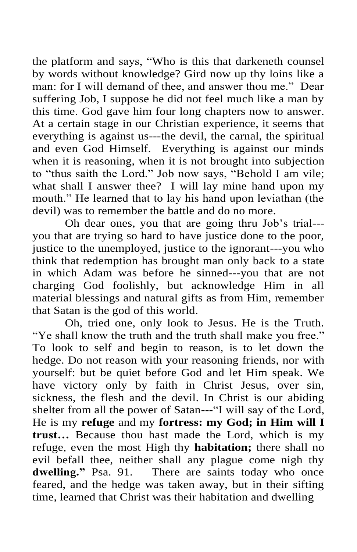the platform and says, "Who is this that darkeneth counsel by words without knowledge? Gird now up thy loins like a man: for I will demand of thee, and answer thou me." Dear suffering Job, I suppose he did not feel much like a man by this time. God gave him four long chapters now to answer. At a certain stage in our Christian experience, it seems that everything is against us---the devil, the carnal, the spiritual and even God Himself. Everything is against our minds when it is reasoning, when it is not brought into subjection to "thus saith the Lord." Job now says, "Behold I am vile; what shall I answer thee? I will lay mine hand upon my mouth." He learned that to lay his hand upon leviathan (the devil) was to remember the battle and do no more.

Oh dear ones, you that are going thru Job"s trial-- you that are trying so hard to have justice done to the poor, justice to the unemployed, justice to the ignorant---you who think that redemption has brought man only back to a state in which Adam was before he sinned---you that are not charging God foolishly, but acknowledge Him in all material blessings and natural gifts as from Him, remember that Satan is the god of this world.

Oh, tried one, only look to Jesus. He is the Truth. "Ye shall know the truth and the truth shall make you free." To look to self and begin to reason, is to let down the hedge. Do not reason with your reasoning friends, nor with yourself: but be quiet before God and let Him speak. We have victory only by faith in Christ Jesus, over sin, sickness, the flesh and the devil. In Christ is our abiding shelter from all the power of Satan---"I will say of the Lord, He is my **refuge** and my **fortress: my God; in Him will I trust…** Because thou hast made the Lord, which is my refuge, even the most High thy **habitation;** there shall no evil befall thee, neither shall any plague come nigh thy dwelling." Psa. 91. There are saints today who once feared, and the hedge was taken away, but in their sifting time, learned that Christ was their habitation and dwelling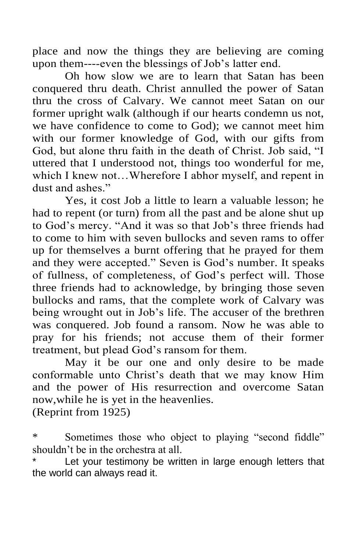place and now the things they are believing are coming upon them----even the blessings of Job's latter end.

Oh how slow we are to learn that Satan has been conquered thru death. Christ annulled the power of Satan thru the cross of Calvary. We cannot meet Satan on our former upright walk (although if our hearts condemn us not, we have confidence to come to God); we cannot meet him with our former knowledge of God, with our gifts from God, but alone thru faith in the death of Christ. Job said, "I uttered that I understood not, things too wonderful for me, which I knew not…Wherefore I abhor myself, and repent in dust and ashes."

Yes, it cost Job a little to learn a valuable lesson; he had to repent (or turn) from all the past and be alone shut up to God"s mercy. "And it was so that Job"s three friends had to come to him with seven bullocks and seven rams to offer up for themselves a burnt offering that he prayed for them and they were accepted." Seven is God's number. It speaks of fullness, of completeness, of God"s perfect will. Those three friends had to acknowledge, by bringing those seven bullocks and rams, that the complete work of Calvary was being wrought out in Job's life. The accuser of the brethren was conquered. Job found a ransom. Now he was able to pray for his friends; not accuse them of their former treatment, but plead God"s ransom for them.

May it be our one and only desire to be made conformable unto Christ"s death that we may know Him and the power of His resurrection and overcome Satan now,while he is yet in the heavenlies.

(Reprint from 1925)

\* Sometimes those who object to playing "second fiddle" shouldn"t be in the orchestra at all.

Let your testimony be written in large enough letters that the world can always read it.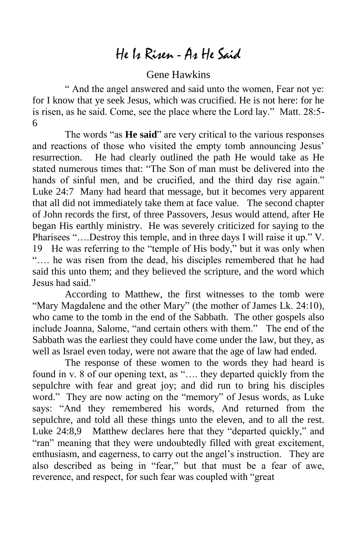## He Is Risen - As He Said

Gene Hawkins

" And the angel answered and said unto the women, Fear not ye: for I know that ye seek Jesus, which was crucified. He is not here: for he is risen, as he said. Come, see the place where the Lord lay." Matt. 28:5- 6

The words "as **He said**" are very critical to the various responses and reactions of those who visited the empty tomb announcing Jesus' resurrection. He had clearly outlined the path He would take as He stated numerous times that: "The Son of man must be delivered into the hands of sinful men, and be crucified, and the third day rise again." Luke 24:7 Many had heard that message, but it becomes very apparent that all did not immediately take them at face value. The second chapter of John records the first, of three Passovers, Jesus would attend, after He began His earthly ministry. He was severely criticized for saying to the Pharisees "….Destroy this temple, and in three days I will raise it up." V. 19 He was referring to the "temple of His body," but it was only when "…. he was risen from the dead, his disciples remembered that he had said this unto them; and they believed the scripture, and the word which Jesus had said."

According to Matthew, the first witnesses to the tomb were "Mary Magdalene and the other Mary" (the mother of James Lk. 24:10), who came to the tomb in the end of the Sabbath. The other gospels also include Joanna, Salome, "and certain others with them." The end of the Sabbath was the earliest they could have come under the law, but they, as well as Israel even today, were not aware that the age of law had ended.

The response of these women to the words they had heard is found in v. 8 of our opening text, as "…. they departed quickly from the sepulchre with fear and great joy; and did run to bring his disciples word." They are now acting on the "memory" of Jesus words, as Luke says: "And they remembered his words, And returned from the sepulchre, and told all these things unto the eleven, and to all the rest. Luke 24:8,9 Matthew declares here that they "departed quickly," and "ran" meaning that they were undoubtedly filled with great excitement, enthusiasm, and eagerness, to carry out the angel's instruction. They are also described as being in "fear," but that must be a fear of awe, reverence, and respect, for such fear was coupled with "great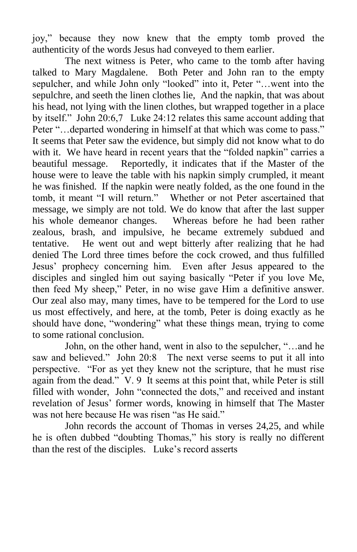joy," because they now knew that the empty tomb proved the authenticity of the words Jesus had conveyed to them earlier.

The next witness is Peter, who came to the tomb after having talked to Mary Magdalene. Both Peter and John ran to the empty sepulcher, and while John only "looked" into it, Peter "…went into the sepulchre, and seeth the linen clothes lie, And the napkin, that was about his head, not lying with the linen clothes, but wrapped together in a place by itself." John 20:6,7 Luke 24:12 relates this same account adding that Peter "…departed wondering in himself at that which was come to pass." It seems that Peter saw the evidence, but simply did not know what to do with it. We have heard in recent years that the "folded napkin" carries a beautiful message. Reportedly, it indicates that if the Master of the house were to leave the table with his napkin simply crumpled, it meant he was finished. If the napkin were neatly folded, as the one found in the tomb, it meant "I will return." Whether or not Peter ascertained that message, we simply are not told. We do know that after the last supper his whole demeanor changes. Whereas before he had been rather zealous, brash, and impulsive, he became extremely subdued and tentative. He went out and wept bitterly after realizing that he had denied The Lord three times before the cock crowed, and thus fulfilled Jesus" prophecy concerning him. Even after Jesus appeared to the disciples and singled him out saying basically "Peter if you love Me, then feed My sheep," Peter, in no wise gave Him a definitive answer. Our zeal also may, many times, have to be tempered for the Lord to use us most effectively, and here, at the tomb, Peter is doing exactly as he should have done, "wondering" what these things mean, trying to come to some rational conclusion.

John, on the other hand, went in also to the sepulcher, "…and he saw and believed." John 20:8 The next verse seems to put it all into perspective. "For as yet they knew not the scripture, that he must rise again from the dead." V. 9 It seems at this point that, while Peter is still filled with wonder, John "connected the dots," and received and instant revelation of Jesus" former words, knowing in himself that The Master was not here because He was risen "as He said."

John records the account of Thomas in verses 24,25, and while he is often dubbed "doubting Thomas," his story is really no different than the rest of the disciples. Luke"s record asserts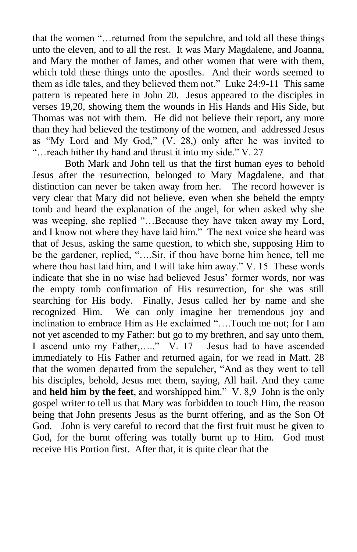that the women "…returned from the sepulchre, and told all these things unto the eleven, and to all the rest. It was Mary Magdalene, and Joanna, and Mary the mother of James, and other women that were with them, which told these things unto the apostles. And their words seemed to them as idle tales, and they believed them not." Luke 24:9-11 This same pattern is repeated here in John 20. Jesus appeared to the disciples in verses 19,20, showing them the wounds in His Hands and His Side, but Thomas was not with them. He did not believe their report, any more than they had believed the testimony of the women, and addressed Jesus as "My Lord and My God," (V. 28,) only after he was invited to "…reach hither thy hand and thrust it into my side." V. 27

Both Mark and John tell us that the first human eyes to behold Jesus after the resurrection, belonged to Mary Magdalene, and that distinction can never be taken away from her. The record however is very clear that Mary did not believe, even when she beheld the empty tomb and heard the explanation of the angel, for when asked why she was weeping, she replied "...Because they have taken away my Lord, and I know not where they have laid him." The next voice she heard was that of Jesus, asking the same question, to which she, supposing Him to be the gardener, replied, "….Sir, if thou have borne him hence, tell me where thou hast laid him, and I will take him away." V. 15 These words indicate that she in no wise had believed Jesus' former words, nor was the empty tomb confirmation of His resurrection, for she was still searching for His body. Finally, Jesus called her by name and she recognized Him. We can only imagine her tremendous joy and inclination to embrace Him as He exclaimed "….Touch me not; for I am not yet ascended to my Father: but go to my brethren, and say unto them, I ascend unto my Father,….." V. 17 Jesus had to have ascended immediately to His Father and returned again, for we read in Matt. 28 that the women departed from the sepulcher, "And as they went to tell his disciples, behold, Jesus met them, saying, All hail. And they came and **held him by the feet**, and worshipped him." V. 8,9 John is the only gospel writer to tell us that Mary was forbidden to touch Him, the reason being that John presents Jesus as the burnt offering, and as the Son Of God. John is very careful to record that the first fruit must be given to God, for the burnt offering was totally burnt up to Him. God must receive His Portion first. After that, it is quite clear that the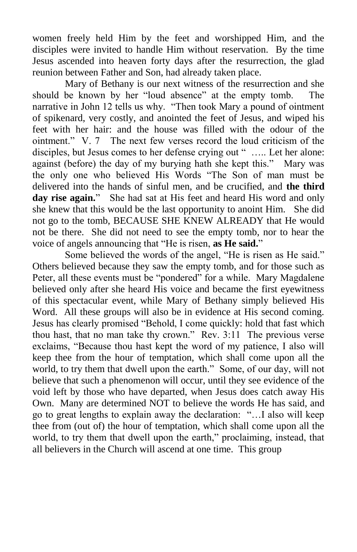women freely held Him by the feet and worshipped Him, and the disciples were invited to handle Him without reservation. By the time Jesus ascended into heaven forty days after the resurrection, the glad reunion between Father and Son, had already taken place.

Mary of Bethany is our next witness of the resurrection and she should be known by her "loud absence" at the empty tomb. The narrative in John 12 tells us why. "Then took Mary a pound of ointment of spikenard, very costly, and anointed the feet of Jesus, and wiped his feet with her hair: and the house was filled with the odour of the ointment." V. 7 The next few verses record the loud criticism of the disciples, but Jesus comes to her defense crying out " ….. Let her alone: against (before) the day of my burying hath she kept this." Mary was the only one who believed His Words "The Son of man must be delivered into the hands of sinful men, and be crucified, and **the third day rise again.**" She had sat at His feet and heard His word and only she knew that this would be the last opportunity to anoint Him. She did not go to the tomb, BECAUSE SHE KNEW ALREADY that He would not be there. She did not need to see the empty tomb, nor to hear the voice of angels announcing that "He is risen, **as He said.**"

Some believed the words of the angel, "He is risen as He said." Others believed because they saw the empty tomb, and for those such as Peter, all these events must be "pondered" for a while. Mary Magdalene believed only after she heard His voice and became the first eyewitness of this spectacular event, while Mary of Bethany simply believed His Word. All these groups will also be in evidence at His second coming. Jesus has clearly promised "Behold, I come quickly: hold that fast which thou hast, that no man take thy crown." Rev. 3:11 The previous verse exclaims, "Because thou hast kept the word of my patience, I also will keep thee from the hour of temptation, which shall come upon all the world, to try them that dwell upon the earth." Some, of our day, will not believe that such a phenomenon will occur, until they see evidence of the void left by those who have departed, when Jesus does catch away His Own. Many are determined NOT to believe the words He has said, and go to great lengths to explain away the declaration: "…I also will keep thee from (out of) the hour of temptation, which shall come upon all the world, to try them that dwell upon the earth," proclaiming, instead, that all believers in the Church will ascend at one time. This group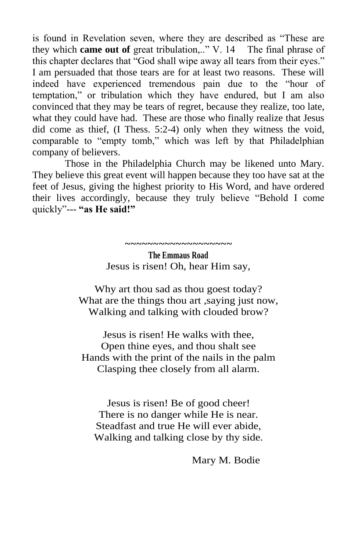is found in Revelation seven, where they are described as "These are they which **came out of** great tribulation,.." V. 14 The final phrase of this chapter declares that "God shall wipe away all tears from their eyes." I am persuaded that those tears are for at least two reasons. These will indeed have experienced tremendous pain due to the "hour of temptation," or tribulation which they have endured, but I am also convinced that they may be tears of regret, because they realize, too late, what they could have had. These are those who finally realize that Jesus did come as thief, (I Thess. 5:2-4) only when they witness the void, comparable to "empty tomb," which was left by that Philadelphian company of believers.

Those in the Philadelphia Church may be likened unto Mary. They believe this great event will happen because they too have sat at the feet of Jesus, giving the highest priority to His Word, and have ordered their lives accordingly, because they truly believe "Behold I come quickly"--- **"as He said!"** 

> *~~~~~~~~~~~~~~~~~~~* **The Emmaus Road** Jesus is risen! Oh, hear Him say,

Why art thou sad as thou goest today? What are the things thou art , saying just now, Walking and talking with clouded brow?

Jesus is risen! He walks with thee, Open thine eyes, and thou shalt see Hands with the print of the nails in the palm Clasping thee closely from all alarm.

Jesus is risen! Be of good cheer! There is no danger while He is near. Steadfast and true He will ever abide, Walking and talking close by thy side.

Mary M. Bodie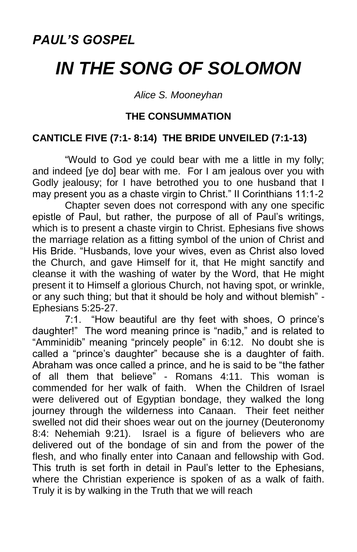### *PAUL'S GOSPEL*

## *IN THE SONG OF SOLOMON*

*Alice S. Mooneyhan*

### **THE CONSUMMATION**

### **CANTICLE FIVE (7:1- 8:14) THE BRIDE UNVEILED (7:1-13)**

"Would to God ye could bear with me a little in my folly; and indeed [ye do] bear with me. For I am jealous over you with Godly jealousy; for I have betrothed you to one husband that I may present you as a chaste virgin to Christ." II Corinthians 11:1-2

Chapter seven does not correspond with any one specific epistle of Paul, but rather, the purpose of all of Paul's writings, which is to present a chaste virgin to Christ. Ephesians five shows the marriage relation as a fitting symbol of the union of Christ and His Bride. "Husbands, love your wives, even as Christ also loved the Church, and gave Himself for it, that He might sanctify and cleanse it with the washing of water by the Word, that He might present it to Himself a glorious Church, not having spot, or wrinkle, or any such thing; but that it should be holy and without blemish" - Ephesians 5:25-27.

7:1. "How beautiful are thy feet with shoes, O prince's daughter!" The word meaning prince is "nadib," and is related to "Amminidib" meaning "princely people" in 6:12. No doubt she is called a "prince's daughter" because she is a daughter of faith. Abraham was once called a prince, and he is said to be "the father of all them that believe" - Romans 4:11. This woman is commended for her walk of faith. When the Children of Israel were delivered out of Egyptian bondage, they walked the long journey through the wilderness into Canaan. Their feet neither swelled not did their shoes wear out on the journey (Deuteronomy 8:4: Nehemiah 9:21). Israel is a figure of believers who are delivered out of the bondage of sin and from the power of the flesh, and who finally enter into Canaan and fellowship with God. This truth is set forth in detail in Paul's letter to the Ephesians, where the Christian experience is spoken of as a walk of faith. Truly it is by walking in the Truth that we will reach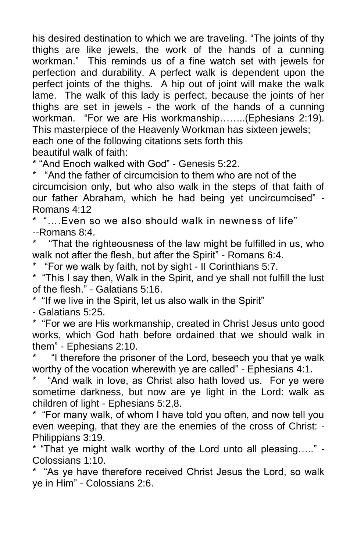his desired destination to which we are traveling. "The joints of thy thighs are like jewels, the work of the hands of a cunning workman." This reminds us of a fine watch set with jewels for perfection and durability. A perfect walk is dependent upon the perfect joints of the thighs. A hip out of joint will make the walk lame. The walk of this lady is perfect, because the joints of her thighs are set in jewels - the work of the hands of a cunning workman. "For we are His workmanship……..(Ephesians 2:19). This masterpiece of the Heavenly Workman has sixteen jewels; each one of the following citations sets forth this beautiful walk of faith:

\* "And Enoch walked with God" - Genesis 5:22.

\* "And the father of circumcision to them who are not of the circumcision only, but who also walk in the steps of that faith of our father Abraham, which he had being yet uncircumcised" - Romans 4:12

\* "….Even so we also should walk in newness of life" --Romans 8:4.

\* "That the righteousness of the law might be fulfilled in us, who walk not after the flesh, but after the Spirit" - Romans 6:4.

\* "For we walk by faith, not by sight - II Corinthians 5:7.

\* "This I say then, Walk in the Spirit, and ye shall not fulfill the lust of the flesh." - Galatians 5:16.

\* "If we live in the Spirit, let us also walk in the Spirit"

- Galatians 5:25.

\* "For we are His workmanship, created in Christ Jesus unto good works, which God hath before ordained that we should walk in them" - Ephesians 2:10.

\* "I therefore the prisoner of the Lord, beseech you that ye walk worthy of the vocation wherewith ye are called" - Ephesians 4:1.

\* "And walk in love, as Christ also hath loved us. For ye were sometime darkness, but now are ye light in the Lord: walk as children of light - Ephesians 5:2,8.

\* "For many walk, of whom I have told you often, and now tell you even weeping, that they are the enemies of the cross of Christ: - Philippians 3:19.

\* "That ye might walk worthy of the Lord unto all pleasing….." - Colossians 1:10.

\* "As ye have therefore received Christ Jesus the Lord, so walk ye in Him" - Colossians 2:6.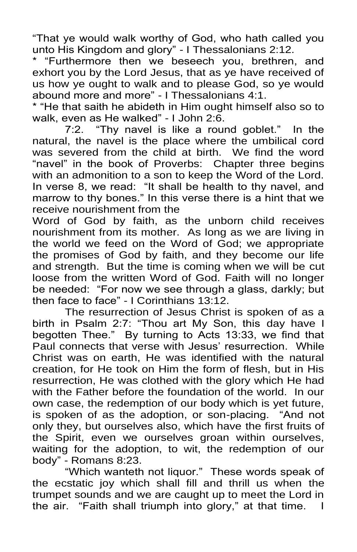"That ye would walk worthy of God, who hath called you unto His Kingdom and glory" - I Thessalonians 2:12.

\* "Furthermore then we beseech you, brethren, and exhort you by the Lord Jesus, that as ye have received of us how ye ought to walk and to please God, so ye would abound more and more" - I Thessalonians 4:1.

\* "He that saith he abideth in Him ought himself also so to walk, even as He walked" - I John 2:6.

7:2. "Thy navel is like a round goblet." In the natural, the navel is the place where the umbilical cord was severed from the child at birth. We find the word "navel" in the book of Proverbs: Chapter three begins with an admonition to a son to keep the Word of the Lord. In verse 8, we read: "It shall be health to thy navel, and marrow to thy bones." In this verse there is a hint that we receive nourishment from the

Word of God by faith, as the unborn child receives nourishment from its mother. As long as we are living in the world we feed on the Word of God; we appropriate the promises of God by faith, and they become our life and strength. But the time is coming when we will be cut loose from the written Word of God. Faith will no longer be needed: "For now we see through a glass, darkly; but then face to face" - I Corinthians 13:12.

The resurrection of Jesus Christ is spoken of as a birth in Psalm 2:7: "Thou art My Son, this day have I begotten Thee." By turning to Acts 13:33, we find that Paul connects that verse with Jesus' resurrection. While Christ was on earth, He was identified with the natural creation, for He took on Him the form of flesh, but in His resurrection, He was clothed with the glory which He had with the Father before the foundation of the world. In our own case, the redemption of our body which is yet future, is spoken of as the adoption, or son-placing. "And not only they, but ourselves also, which have the first fruits of the Spirit, even we ourselves groan within ourselves, waiting for the adoption, to wit, the redemption of our body" - Romans 8:23.

"Which wanteth not liquor." These words speak of the ecstatic joy which shall fill and thrill us when the trumpet sounds and we are caught up to meet the Lord in the air. "Faith shall triumph into glory," at that time. I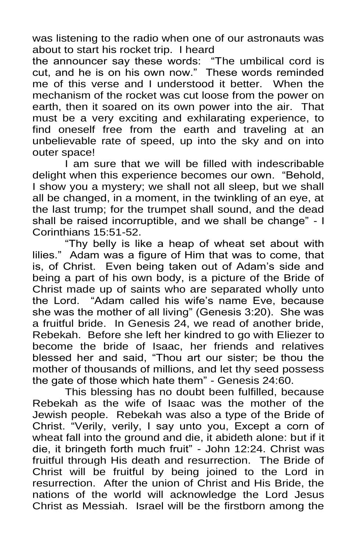was listening to the radio when one of our astronauts was about to start his rocket trip. I heard

the announcer say these words: "The umbilical cord is cut, and he is on his own now." These words reminded me of this verse and I understood it better. When the mechanism of the rocket was cut loose from the power on earth, then it soared on its own power into the air. That must be a very exciting and exhilarating experience, to find oneself free from the earth and traveling at an unbelievable rate of speed, up into the sky and on into outer space!

I am sure that we will be filled with indescribable delight when this experience becomes our own. "Behold, I show you a mystery; we shall not all sleep, but we shall all be changed, in a moment, in the twinkling of an eye, at the last trump; for the trumpet shall sound, and the dead shall be raised incorruptible, and we shall be change" - I Corinthians 15:51-52.

"Thy belly is like a heap of wheat set about with lilies." Adam was a figure of Him that was to come, that is, of Christ. Even being taken out of Adam's side and being a part of his own body, is a picture of the Bride of Christ made up of saints who are separated wholly unto the Lord. "Adam called his wife's name Eve, because she was the mother of all living" (Genesis 3:20). She was a fruitful bride. In Genesis 24, we read of another bride, Rebekah. Before she left her kindred to go with Eliezer to become the bride of Isaac, her friends and relatives blessed her and said, "Thou art our sister; be thou the mother of thousands of millions, and let thy seed possess the gate of those which hate them" - Genesis 24:60.

This blessing has no doubt been fulfilled, because Rebekah as the wife of Isaac was the mother of the Jewish people. Rebekah was also a type of the Bride of Christ. "Verily, verily, I say unto you, Except a corn of wheat fall into the ground and die, it abideth alone: but if it die, it bringeth forth much fruit" - John 12:24. Christ was fruitful through His death and resurrection. The Bride of Christ will be fruitful by being joined to the Lord in resurrection. After the union of Christ and His Bride, the nations of the world will acknowledge the Lord Jesus Christ as Messiah. Israel will be the firstborn among the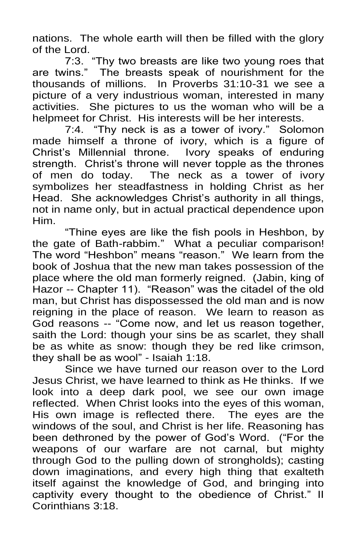nations. The whole earth will then be filled with the glory of the Lord.

7:3. "Thy two breasts are like two young roes that are twins." The breasts speak of nourishment for the thousands of millions. In Proverbs 31:10-31 we see a picture of a very industrious woman, interested in many activities. She pictures to us the woman who will be a helpmeet for Christ. His interests will be her interests.

7:4. "Thy neck is as a tower of ivory." Solomon made himself a throne of ivory, which is a figure of Christ's Millennial throne. Ivory speaks of enduring strength. Christ's throne will never topple as the thrones of men do today. The neck as a tower of ivory symbolizes her steadfastness in holding Christ as her Head. She acknowledges Christ's authority in all things, not in name only, but in actual practical dependence upon Him.

"Thine eyes are like the fish pools in Heshbon, by the gate of Bath-rabbim." What a peculiar comparison! The word "Heshbon" means "reason." We learn from the book of Joshua that the new man takes possession of the place where the old man formerly reigned. (Jabin, king of Hazor -- Chapter 11). "Reason" was the citadel of the old man, but Christ has dispossessed the old man and is now reigning in the place of reason. We learn to reason as God reasons -- "Come now, and let us reason together, saith the Lord: though your sins be as scarlet, they shall be as white as snow: though they be red like crimson, they shall be as wool" - Isaiah 1:18.

Since we have turned our reason over to the Lord Jesus Christ, we have learned to think as He thinks. If we look into a deep dark pool, we see our own image reflected. When Christ looks into the eyes of this woman, His own image is reflected there. The eyes are the windows of the soul, and Christ is her life. Reasoning has been dethroned by the power of God's Word. ("For the weapons of our warfare are not carnal, but mighty through God to the pulling down of strongholds); casting down imaginations, and every high thing that exalteth itself against the knowledge of God, and bringing into captivity every thought to the obedience of Christ." II Corinthians 3:18.